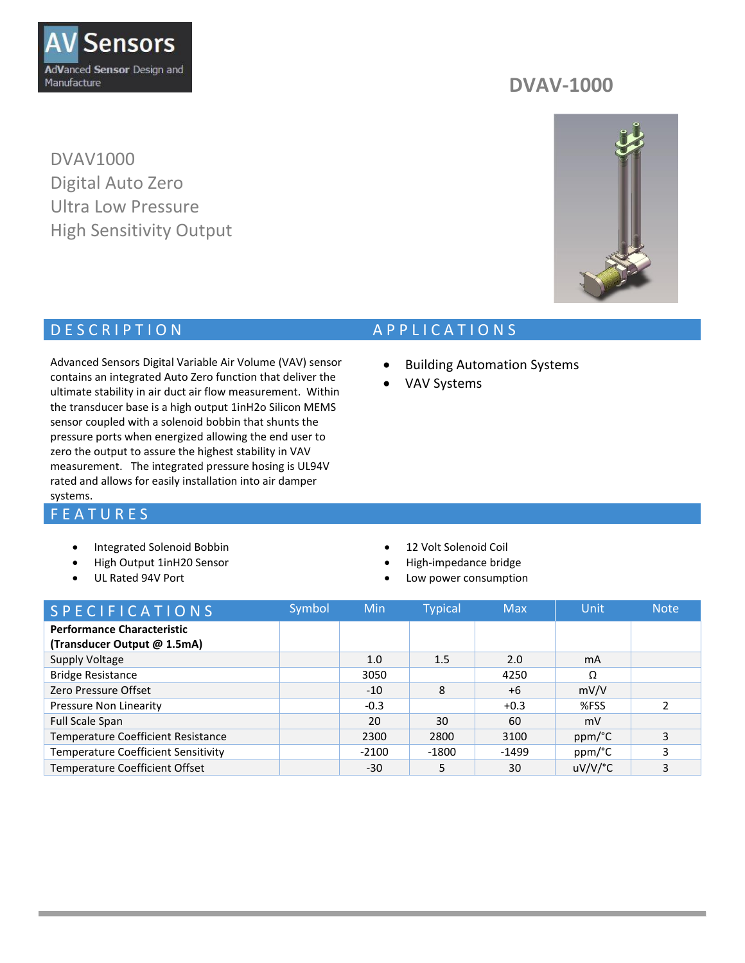

DVAV1000 Digital Auto Zero Ultra Low Pressure High Sensitivity Output

## **DVAV-1000**



## D E S C R I P T I O N A P P LICATIONS

Advanced Sensors Digital Variable Air Volume (VAV) sensor contains an integrated Auto Zero function that deliver the ultimate stability in air duct air flow measurement. Within the transducer base is a high output 1inH2o Silicon MEMS sensor coupled with a solenoid bobbin that shunts the pressure ports when energized allowing the end user to zero the output to assure the highest stability in VAV measurement. The integrated pressure hosing is UL94V rated and allows for easily installation into air damper

## systems.

#### **F E A T U R E S**

- Integrated Solenoid Bobbin
- High Output 1inH20 Sensor
- UL Rated 94V Port

VAV Systems

**•** Building Automation Systems

- 12 Volt Solenoid Coil
- High-impedance bridge
- Low power consumption

| <b>SPECIFICATIONS</b>                                            | Symbol | Min     | <b>Typical</b> | <b>Max</b> | Unit                  | <b>Note</b> |
|------------------------------------------------------------------|--------|---------|----------------|------------|-----------------------|-------------|
| <b>Performance Characteristic</b><br>(Transducer Output @ 1.5mA) |        |         |                |            |                       |             |
| Supply Voltage                                                   |        | 1.0     | 1.5            | 2.0        | mA                    |             |
| <b>Bridge Resistance</b>                                         |        | 3050    |                | 4250       | Ω                     |             |
| Zero Pressure Offset                                             |        | $-10$   | 8              | $+6$       | mV/V                  |             |
| Pressure Non Linearity                                           |        | $-0.3$  |                | $+0.3$     | %FSS                  |             |
| <b>Full Scale Span</b>                                           |        | 20      | 30             | 60         | mV                    |             |
| Temperature Coefficient Resistance                               |        | 2300    | 2800           | 3100       | ppm/°C                | 3           |
| <b>Temperature Coefficient Sensitivity</b>                       |        | $-2100$ | $-1800$        | $-1499$    | ppm/°C                | 3           |
| <b>Temperature Coefficient Offset</b>                            |        | $-30$   |                | 30         | $uV/V$ <sup>o</sup> C | 3           |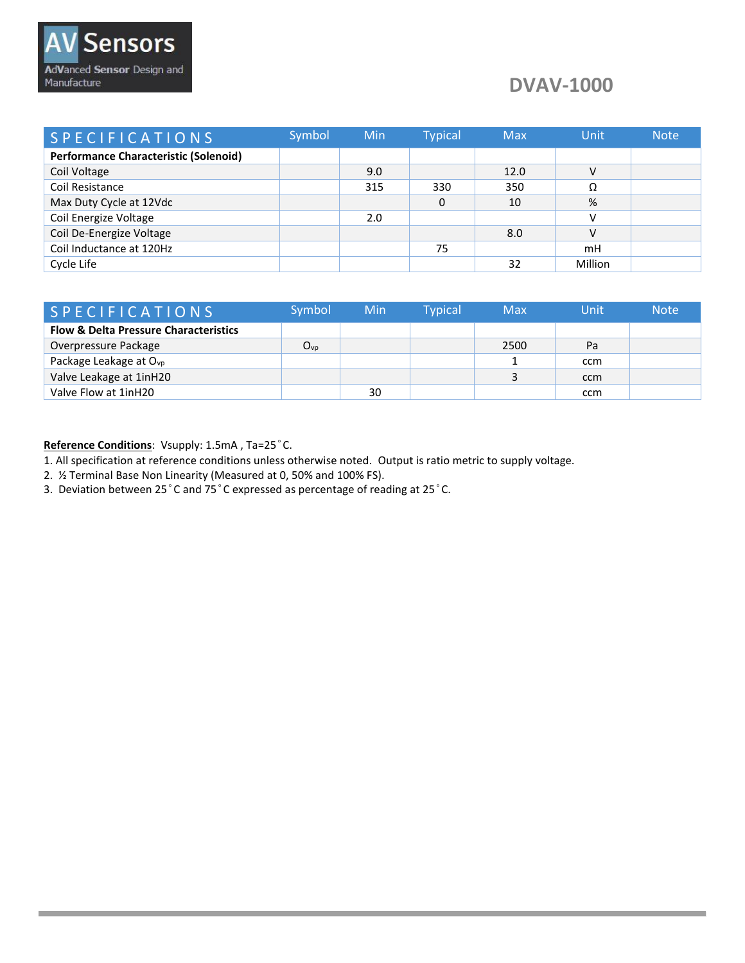## **DVAV-1000**

| <b>SPECIFICATIONS</b>                        | Symbol | Min | <b>Typical</b> | <b>Max</b> | Unit    | <b>Note</b> |
|----------------------------------------------|--------|-----|----------------|------------|---------|-------------|
| <b>Performance Characteristic (Solenoid)</b> |        |     |                |            |         |             |
| Coil Voltage                                 |        | 9.0 |                | 12.0       | V       |             |
| Coil Resistance                              |        | 315 | 330            | 350        | Ω       |             |
| Max Duty Cycle at 12Vdc                      |        |     |                | 10         | %       |             |
| Coil Energize Voltage                        |        | 2.0 |                |            | v       |             |
| Coil De-Energize Voltage                     |        |     |                | 8.0        | V       |             |
| Coil Inductance at 120Hz                     |        |     | 75             |            | mH      |             |
| Cycle Life                                   |        |     |                | 32         | Million |             |

| SPECIFICATIONS                                   | Symbol          | Min | <b>Typical</b> | <b>Max</b> | Unit | <b>Note</b> |
|--------------------------------------------------|-----------------|-----|----------------|------------|------|-------------|
| <b>Flow &amp; Delta Pressure Characteristics</b> |                 |     |                |            |      |             |
| Overpressure Package                             | O <sub>VD</sub> |     |                | 2500       | Pa   |             |
| Package Leakage at O <sub>vp</sub>               |                 |     |                |            | ccm  |             |
| Valve Leakage at 1inH20                          |                 |     |                |            | ccm  |             |
| Valve Flow at 1inH20                             |                 | 30  |                |            | ccm  |             |

**Reference Conditions**: Vsupply: 1.5mA , Ta=25°C.

1. All specification at reference conditions unless otherwise noted. Output is ratio metric to supply voltage.

2. ½ Terminal Base Non Linearity (Measured at 0, 50% and 100% FS).

3. Deviation between 25°C and 75°C expressed as percentage of reading at 25°C.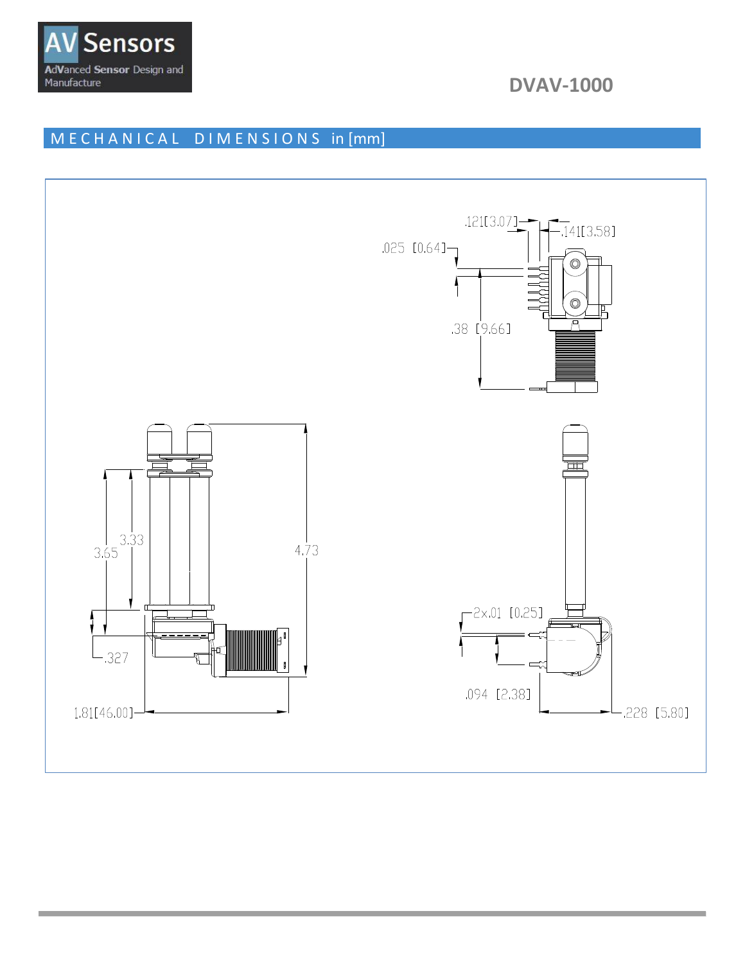

**DVAV-1000** 

# MECHANICAL DIMENSIONS in [mm]